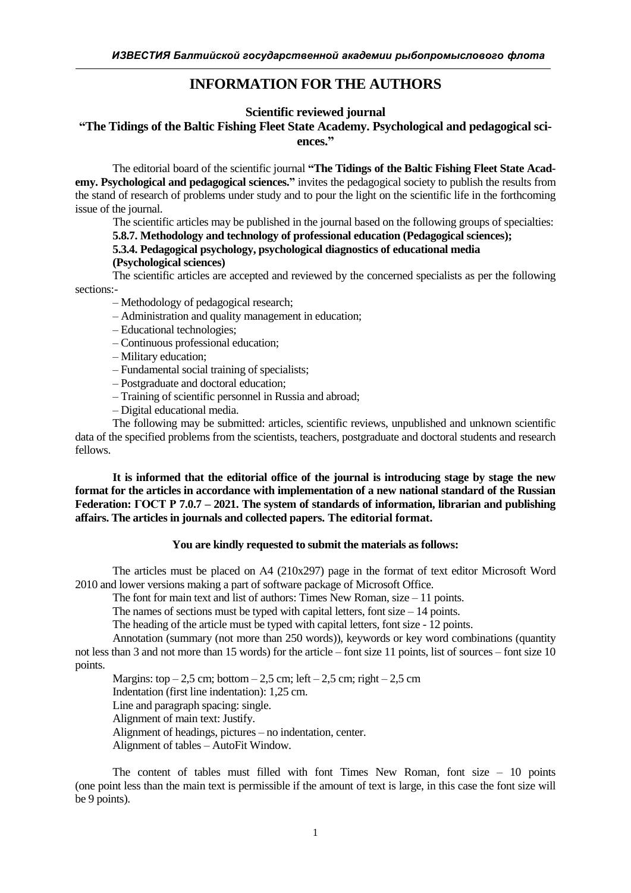# **INFORMATION FOR THE AUTHORS**

## **Scientific reviewed journal**

## **"The Tidings of the Baltic Fishing Fleet State Academy. Psychological and pedagogical sciences."**

The editorial board of the scientific journal **"The Tidings of the Baltic Fishing Fleet State Academy. Psychological and pedagogical sciences."** invites the pedagogical society to publish the results from the stand of research of problems under study and to pour the light on the scientific life in the forthcoming issue of the journal.

 The scientific articles may be published in the journal based on the following groups of specialties: **5.8.7. Methodology and technology of professional education (Pedagogical sciences);**

#### **5.3.4. Pedagogical psychology, psychological diagnostics of educational media**

### **(Psychological sciences)**

The scientific articles are accepted and reviewed by the concerned specialists as per the following sections:-

- Methodology of pedagogical research;
- Administration and quality management in education;
- Educational technologies;
- Continuous professional education;
- Military education;
- Fundamental social training of specialists;
- Postgraduate and doctoral education;
- Training of scientific personnel in Russia and abroad;
- Digital educational media.

The following may be submitted: articles, scientific reviews, unpublished and unknown scientific data of the specified problems from the scientists, teachers, postgraduate and doctoral students and research fellows.

**It is informed that the editorial office of the journal is introducing stage by stage the new format for the articles in accordance with implementation of a new national standard of the Russian Federation: ГОСТ Р 7.0.7 – 2021. The system of standards of information, librarian and publishing affairs. The articles in journals and collected papers. The editorial format.**

#### **You are kindly requested to submit the materials as follows:**

The articles must be placed on A4 (210x297) page in the format of text editor Microsoft Word 2010 and lower versions making a part of software package of Microsoft Office.

The font for main text and list of authors: Times New Roman, size – 11 points.

The names of sections must be typed with capital letters, font size  $-14$  points.

The heading of the article must be typed with capital letters, font size - 12 points.

Annotation (summary (not more than 250 words)), keywords or key word combinations (quantity not less than 3 and not more than 15 words) for the article – font size 11 points, list of sources – font size 10 points.

Margins: top  $-2.5$  cm; bottom  $-2.5$  cm; left  $-2.5$  cm; right  $-2.5$  cm Indentation (first line indentation): 1,25 cm. Line and paragraph spacing: single. Alignment of main text: Justify. Alignment of headings, pictures – no indentation, center. Alignment of tables – AutoFit Window.

The content of tables must filled with font Times New Roman, font size  $-10$  points (one point less than the main text is permissible if the amount of text is large, in this case the font size will be 9 points).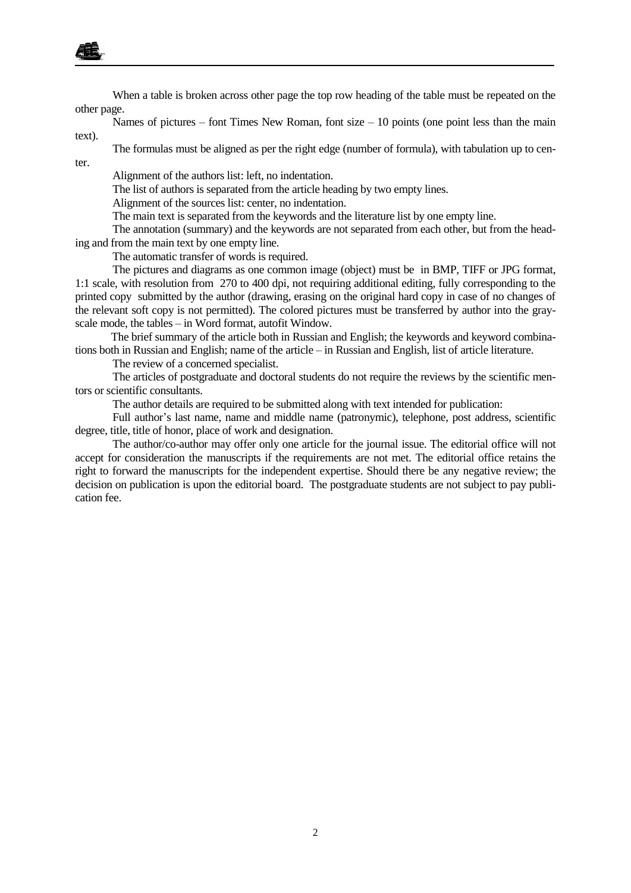

When a table is broken across other page the top row heading of the table must be repeated on the other page.

Names of pictures – font Times New Roman, font size – 10 points (one point less than the main text).

The formulas must be aligned as per the right edge (number of formula), with tabulation up to center.

Alignment of the authors list: left, no indentation.

The list of authors is separated from the article heading by two empty lines.

Alignment of the sources list: center, no indentation.

The main text is separated from the keywords and the literature list by one empty line.

The annotation (summary) and the keywords are not separated from each other, but from the heading and from the main text by one empty line.

The automatic transfer of words is required.

The pictures and diagrams as one common image (object) must be in BMP, TIFF or JPG format, 1:1 scale, with resolution from 270 to 400 dpi, not requiring additional editing, fully corresponding to the printed copy submitted by the author (drawing, erasing on the original hard copy in case of no changes of the relevant soft copy is not permitted). The colored pictures must be transferred by author into the grayscale mode, the tables – in Word format, autofit Window.

The brief summary of the article both in Russian and English; the keywords and keyword combinations both in Russian and English; name of the article – in Russian and English, list of article literature.

The review of a concerned specialist.

The articles of postgraduate and doctoral students do not require the reviews by the scientific mentors or scientific consultants.

The author details are required to be submitted along with text intended for publication:

Full author's last name, name and middle name (patronymic), telephone, post address, scientific degree, title, title of honor, place of work and designation.

The author/co-author may offer only one article for the journal issue. The editorial office will not accept for consideration the manuscripts if the requirements are not met. The editorial office retains the right to forward the manuscripts for the independent expertise. Should there be any negative review; the decision on publication is upon the editorial board. The postgraduate students are not subject to pay publication fee.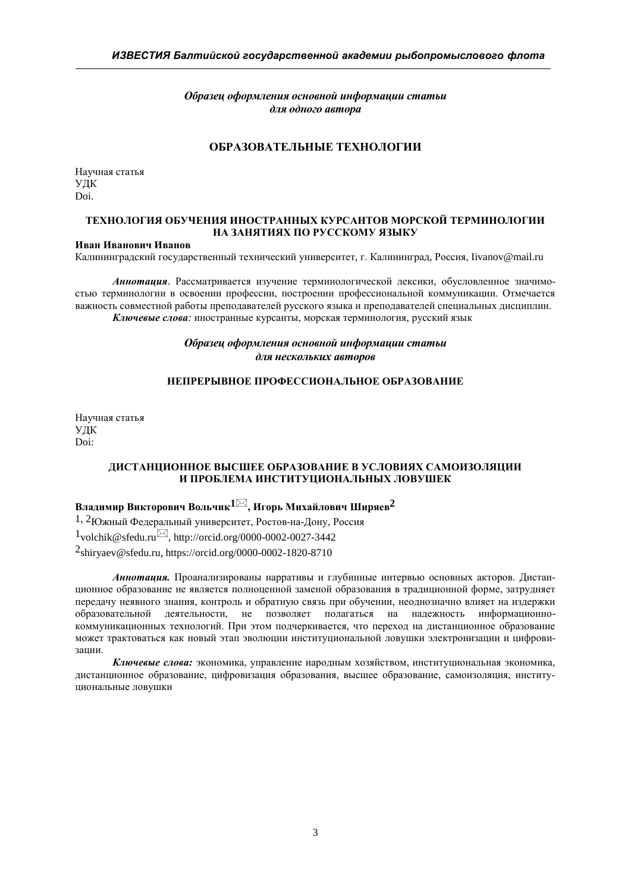*Образец оформления основной информации статьи для одного автора*

## **ОБРАЗОВАТЕЛЬНЫЕ ТЕХНОЛОГИИ**

Научная статья УДК [Doi.](https://doi.org/10.31367/2079-8725-2020-68-2-29-33)

#### **ТЕХНОЛОГИЯ ОБУЧЕНИЯ ИНОСТРАННЫХ КУРСАНТОВ МОРСКОЙ ТЕРМИНОЛОГИИ НА ЗАНЯТИЯХ ПО РУССКОМУ ЯЗЫКУ**

#### **Иван Иванович Иванов**

Калининградский государственный технический университет, г. Калининград, Россия, Iivanov@mail.ru

*Аннотация*. Рассматривается изучение терминологической лексики, обусловленное значимостью терминологии в освоении профессии, построении профессиональной коммуникации. Отмечается важность совместной работы преподавателей русского языка и преподавателей специальных дисциплин. *Ключевые слова:* иностранные курсанты, морская терминология, русский язык

## *Образец оформления основной информации статьи для нескольких авторов*

## **НЕПРЕРЫВНОЕ ПРОФЕССИОНАЛЬНОЕ ОБРАЗОВАНИЕ**

Научная статья УДК Doi:

#### **ДИСТАНЦИОННОЕ ВЫСШЕЕ ОБРАЗОВАНИЕ В УСЛОВИЯХ САМОИЗОЛЯЦИИ И ПРОБЛЕМА ИНСТИТУЦИОНАЛЬНЫХ ЛОВУШЕК**

## **Владимир Викторович Вольчик1, Игорь Михайлович Ширяев2**

1, 2Южный Федеральный университет, Ростов-на-Дону, Россия  $1$ volchik@sfedu.ru $\boxtimes$ , http://orcid.org/0000-0002-0027-3442 2shiryaev@sfedu.ru, https://orcid.org/0000-0002-1820-8710

*Аннотация.* Проанализированы нарративы и глубинные интервью основных акторов. Дистанционное образование не является полноценной заменой образования в традиционной форме, затрудняет передачу неявного знания, контроль и обратную связь при обучении, неоднозначно влияет на издержки образовательной деятельности, не позволяет полагаться на надежность информационнокоммуникационных технологий. При этом подчеркивается, что переход на дистанционное образование может трактоваться как новый этап эволюции институциональной ловушки электронизации и цифровизации.

*Ключевые слова:* экономика, управление народным хозяйством, институциональная экономика, дистанционное образование, цифровизация образования, высшее образование, самоизоляция, институциональные ловушки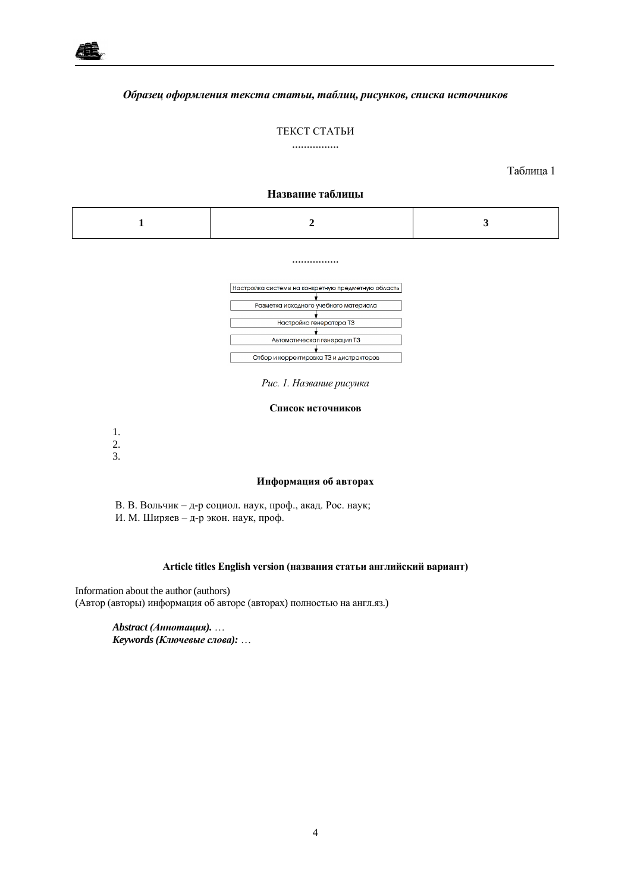

#### *Образец оформления текста статьи, таблиц, рисунков, списка источников*

#### ТЕКСТ СТАТЬИ

................

Таблица 1

#### **Название таблицы**

................



*Рис. 1. Название рисунка*

#### **Список источников**

1.

2. 3.

#### **Информация об авторах**

В. В. Вольчик – д-р социол. наук, проф., акад. Рос. наук; И. М. Ширяев – д-р экон. наук, проф.

## **Article titles English version (названия статьи английский вариант)**

Information about the author (authors) (Автор (авторы) информация об авторе (авторах) полностью на англ.яз.)

> *Abstract (Аннотация).* … *Keywords (Ключевые слова):* …